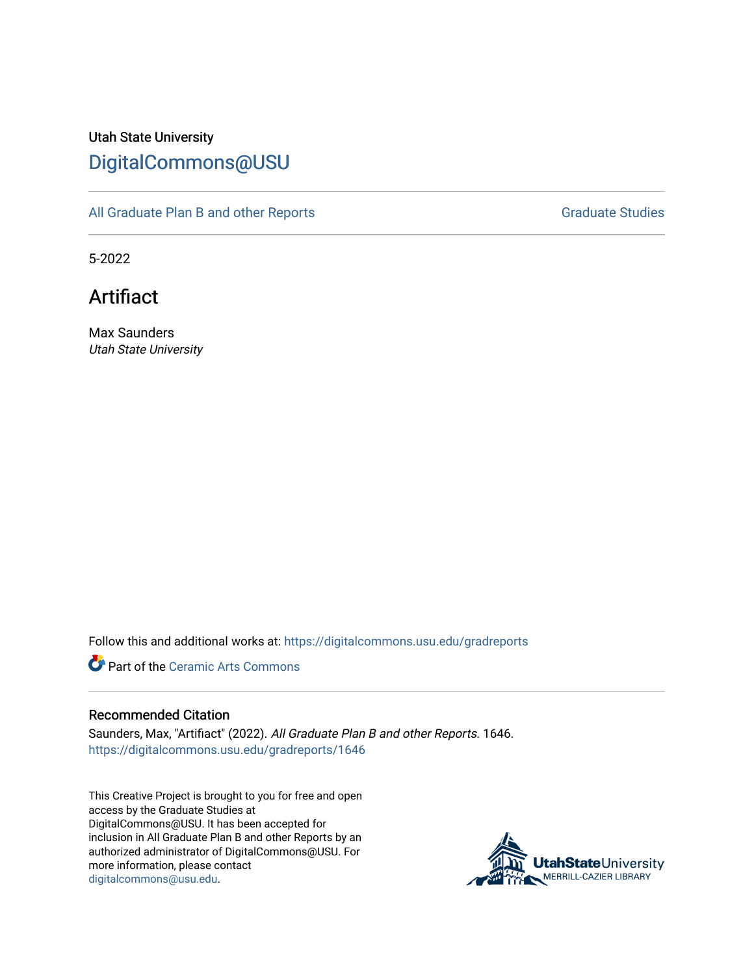# Utah State University [DigitalCommons@USU](https://digitalcommons.usu.edu/)

[All Graduate Plan B and other Reports](https://digitalcommons.usu.edu/gradreports) **Graduate Studies** Graduate Studies

5-2022

Artifiact

Max Saunders Utah State University

Follow this and additional works at: [https://digitalcommons.usu.edu/gradreports](https://digitalcommons.usu.edu/gradreports?utm_source=digitalcommons.usu.edu%2Fgradreports%2F1646&utm_medium=PDF&utm_campaign=PDFCoverPages)

**Part of the Ceramic Arts Commons** 

#### Recommended Citation

Saunders, Max, "Artifiact" (2022). All Graduate Plan B and other Reports. 1646. [https://digitalcommons.usu.edu/gradreports/1646](https://digitalcommons.usu.edu/gradreports/1646?utm_source=digitalcommons.usu.edu%2Fgradreports%2F1646&utm_medium=PDF&utm_campaign=PDFCoverPages) 

This Creative Project is brought to you for free and open access by the Graduate Studies at DigitalCommons@USU. It has been accepted for inclusion in All Graduate Plan B and other Reports by an authorized administrator of DigitalCommons@USU. For more information, please contact [digitalcommons@usu.edu.](mailto:digitalcommons@usu.edu)

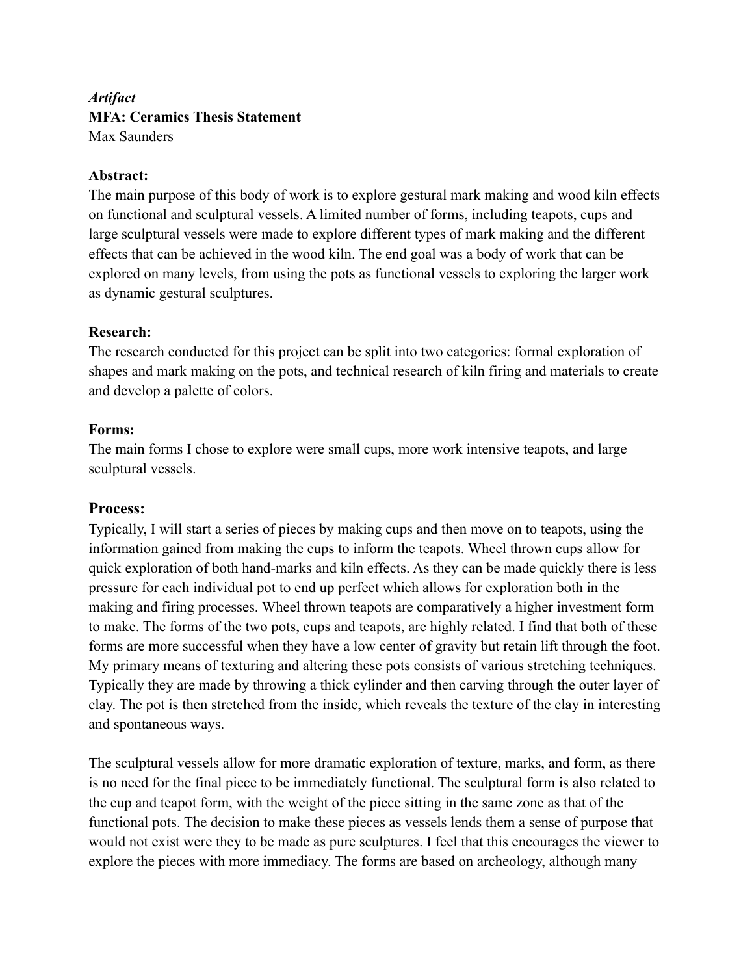# *Artifact* **MFA: Ceramics Thesis Statement** Max Saunders

## **Abstract:**

The main purpose of this body of work is to explore gestural mark making and wood kiln effects on functional and sculptural vessels. A limited number of forms, including teapots, cups and large sculptural vessels were made to explore different types of mark making and the different effects that can be achieved in the wood kiln. The end goal was a body of work that can be explored on many levels, from using the pots as functional vessels to exploring the larger work as dynamic gestural sculptures.

## **Research:**

The research conducted for this project can be split into two categories: formal exploration of shapes and mark making on the pots, and technical research of kiln firing and materials to create and develop a palette of colors.

## **Forms:**

The main forms I chose to explore were small cups, more work intensive teapots, and large sculptural vessels.

## **Process:**

Typically, I will start a series of pieces by making cups and then move on to teapots, using the information gained from making the cups to inform the teapots. Wheel thrown cups allow for quick exploration of both hand-marks and kiln effects. As they can be made quickly there is less pressure for each individual pot to end up perfect which allows for exploration both in the making and firing processes. Wheel thrown teapots are comparatively a higher investment form to make. The forms of the two pots, cups and teapots, are highly related. I find that both of these forms are more successful when they have a low center of gravity but retain lift through the foot. My primary means of texturing and altering these pots consists of various stretching techniques. Typically they are made by throwing a thick cylinder and then carving through the outer layer of clay. The pot is then stretched from the inside, which reveals the texture of the clay in interesting and spontaneous ways.

The sculptural vessels allow for more dramatic exploration of texture, marks, and form, as there is no need for the final piece to be immediately functional. The sculptural form is also related to the cup and teapot form, with the weight of the piece sitting in the same zone as that of the functional pots. The decision to make these pieces as vessels lends them a sense of purpose that would not exist were they to be made as pure sculptures. I feel that this encourages the viewer to explore the pieces with more immediacy. The forms are based on archeology, although many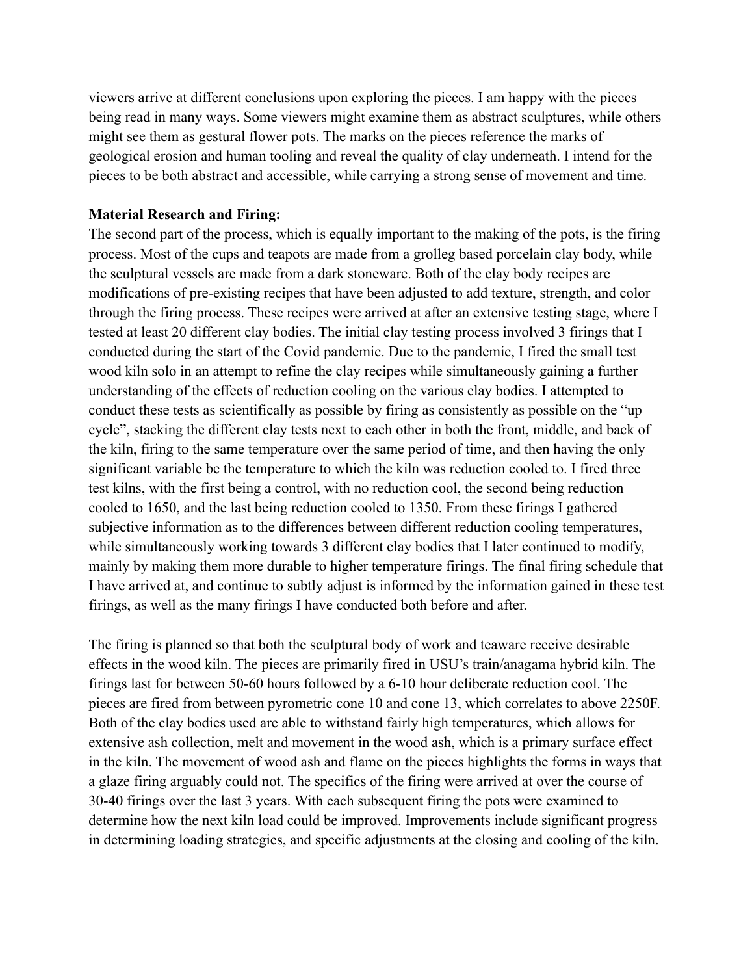viewers arrive at different conclusions upon exploring the pieces. I am happy with the pieces being read in many ways. Some viewers might examine them as abstract sculptures, while others might see them as gestural flower pots. The marks on the pieces reference the marks of geological erosion and human tooling and reveal the quality of clay underneath. I intend for the pieces to be both abstract and accessible, while carrying a strong sense of movement and time.

#### **Material Research and Firing:**

The second part of the process, which is equally important to the making of the pots, is the firing process. Most of the cups and teapots are made from a grolleg based porcelain clay body, while the sculptural vessels are made from a dark stoneware. Both of the clay body recipes are modifications of pre-existing recipes that have been adjusted to add texture, strength, and color through the firing process. These recipes were arrived at after an extensive testing stage, where I tested at least 20 different clay bodies. The initial clay testing process involved 3 firings that I conducted during the start of the Covid pandemic. Due to the pandemic, I fired the small test wood kiln solo in an attempt to refine the clay recipes while simultaneously gaining a further understanding of the effects of reduction cooling on the various clay bodies. I attempted to conduct these tests as scientifically as possible by firing as consistently as possible on the "up cycle", stacking the different clay tests next to each other in both the front, middle, and back of the kiln, firing to the same temperature over the same period of time, and then having the only significant variable be the temperature to which the kiln was reduction cooled to. I fired three test kilns, with the first being a control, with no reduction cool, the second being reduction cooled to 1650, and the last being reduction cooled to 1350. From these firings I gathered subjective information as to the differences between different reduction cooling temperatures, while simultaneously working towards 3 different clay bodies that I later continued to modify, mainly by making them more durable to higher temperature firings. The final firing schedule that I have arrived at, and continue to subtly adjust is informed by the information gained in these test firings, as well as the many firings I have conducted both before and after.

The firing is planned so that both the sculptural body of work and teaware receive desirable effects in the wood kiln. The pieces are primarily fired in USU's train/anagama hybrid kiln. The firings last for between 50-60 hours followed by a 6-10 hour deliberate reduction cool. The pieces are fired from between pyrometric cone 10 and cone 13, which correlates to above 2250F. Both of the clay bodies used are able to withstand fairly high temperatures, which allows for extensive ash collection, melt and movement in the wood ash, which is a primary surface effect in the kiln. The movement of wood ash and flame on the pieces highlights the forms in ways that a glaze firing arguably could not. The specifics of the firing were arrived at over the course of 30-40 firings over the last 3 years. With each subsequent firing the pots were examined to determine how the next kiln load could be improved. Improvements include significant progress in determining loading strategies, and specific adjustments at the closing and cooling of the kiln.